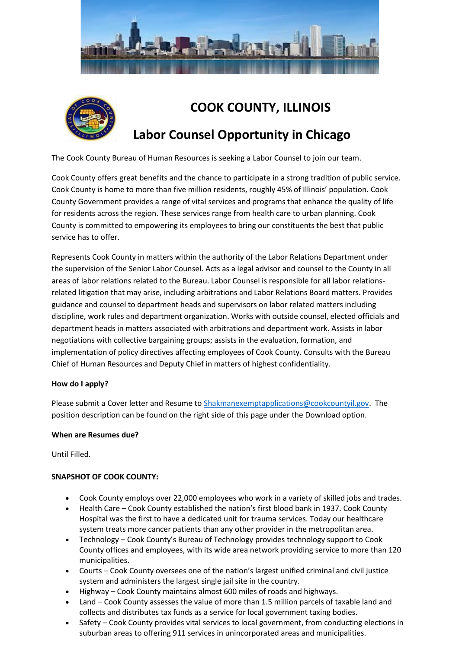



# **COOK COUNTY, ILLINOIS**

# **Labor Counsel Opportunity in Chicago**

The Cook County Bureau of Human Resources is seeking a Labor Counsel to join our team.

Cook County offers great benefits and the chance to participate in a strong tradition of public service. Cook County is home to more than five million residents, roughly 45% of Illinois' population. Cook County Government provides a range of vital services and programs that enhance the quality of life for residents across the region. These services range from health care to urban planning. Cook County is committed to empowering its employees to bring our constituents the best that public service has to offer.

Represents Cook County in matters within the authority of the Labor Relations Department under the supervision of the Senior Labor Counsel. Acts as a legal advisor and counsel to the County in all areas of labor relations related to the Bureau. Labor Counsel is responsible for all labor relationsrelated litigation that may arise, including arbitrations and Labor Relations Board matters. Provides guidance and counsel to department heads and supervisors on labor related matters including discipline, work rules and department organization. Works with outside counsel, elected officials and department heads in matters associated with arbitrations and department work. Assists in labor negotiations with collective bargaining groups; assists in the evaluation, formation, and implementation of policy directives affecting employees of Cook County. Consults with the Bureau Chief of Human Resources and Deputy Chief in matters of highest confidentiality.

# **How do I apply?**

Please submit a Cover letter and Resume to [Shakmanexemptapplications@cookcountyil.gov.](mailto:Shakmanexemptapplications@cookcountyil.gov) The position description can be found on the right side of this page under the Download option.

# **When are Resumes due?**

Until Filled.

# **SNAPSHOT OF COOK COUNTY:**

- Cook County employs over 22,000 employees who work in a variety of skilled jobs and trades.
- Health Care Cook County established the nation's first blood bank in 1937. Cook County Hospital was the first to have a dedicated unit for trauma services. Today our healthcare system treats more cancer patients than any other provider in the metropolitan area.
- Technology Cook County's Bureau of Technology provides technology support to Cook County offices and employees, with its wide area network providing service to more than 120 municipalities.
- Courts Cook County oversees one of the nation's largest unified criminal and civil justice system and administers the largest single jail site in the country.
- Highway Cook County maintains almost 600 miles of roads and highways.
- Land Cook County assesses the value of more than 1.5 million parcels of taxable land and collects and distributes tax funds as a service for local government taxing bodies.
- Safety Cook County provides vital services to local government, from conducting elections in suburban areas to offering 911 services in unincorporated areas and municipalities.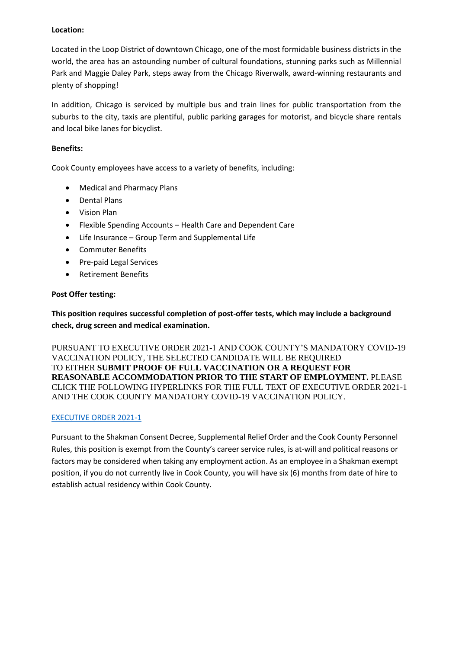## **Location:**

Located in the Loop District of downtown Chicago, one of the most formidable business districts in the world, the area has an astounding number of cultural foundations, stunning parks such as Millennial Park and Maggie Daley Park, steps away from the Chicago Riverwalk, award-winning restaurants and plenty of shopping!

In addition, Chicago is serviced by multiple bus and train lines for public transportation from the suburbs to the city, taxis are plentiful, public parking garages for motorist, and bicycle share rentals and local bike lanes for bicyclist.

# **Benefits:**

Cook County employees have access to a variety of benefits, including:

- Medical and Pharmacy Plans
- Dental Plans
- Vision Plan
- Flexible Spending Accounts Health Care and Dependent Care
- Life Insurance Group Term and Supplemental Life
- Commuter Benefits
- Pre-paid Legal Services
- Retirement Benefits

## **Post Offer testing:**

**This position requires successful completion of post-offer tests, which may include a background check, drug screen and medical examination.**

PURSUANT TO EXECUTIVE ORDER 2021-1 AND COOK COUNTY'S MANDATORY COVID-19 VACCINATION POLICY, THE SELECTED CANDIDATE WILL BE REQUIRED TO EITHER **SUBMIT PROOF OF FULL VACCINATION OR A REQUEST FOR REASONABLE ACCOMMODATION PRIOR TO THE START OF EMPLOYMENT.** PLEASE CLICK THE FOLLOWING HYPERLINKS FOR THE FULL TEXT OF EXECUTIVE ORDER 2021-1 AND THE COOK COUNTY MANDATORY COVID-19 VACCINATION POLICY.

#### [EXECUTIVE ORDER 2021-1](https://www.cookcountyil.gov/agency/office-president)

Pursuant to the Shakman Consent Decree, Supplemental Relief Order and the Cook County Personnel Rules, this position is exempt from the County's career service rules, is at-will and political reasons or factors may be considered when taking any employment action. As an employee in a Shakman exempt position, if you do not currently live in Cook County, you will have six (6) months from date of hire to establish actual residency within Cook County.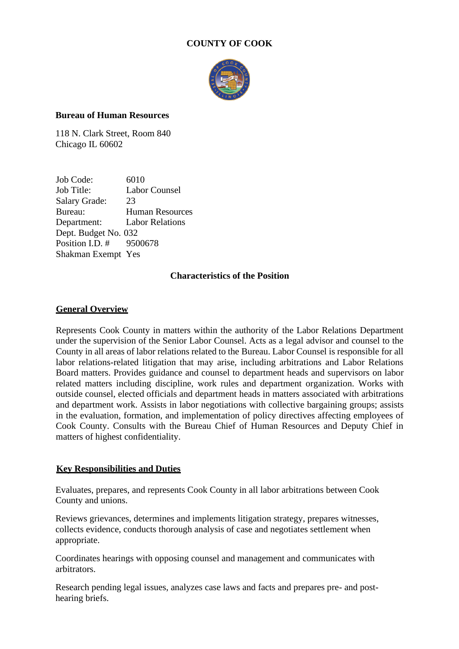# **COUNTY OF COOK**



# **Bureau of Human Resources**

118 N. Clark Street, Room 840 Chicago IL 60602

Job Code: 6010 Job Title: Labor Counsel Salary Grade: 23 Bureau: Human Resources Department: Labor Relations Dept. Budget No. 032 Position I.D. # 9500678 Shakman Exempt Yes

# **Characteristics of the Position**

# **General Overview**

Represents Cook County in matters within the authority of the Labor Relations Department under the supervision of the Senior Labor Counsel. Acts as a legal advisor and counsel to the County in all areas of labor relations related to the Bureau. Labor Counsel is responsible for all labor relations-related litigation that may arise, including arbitrations and Labor Relations Board matters. Provides guidance and counsel to department heads and supervisors on labor related matters including discipline, work rules and department organization. Works with outside counsel, elected officials and department heads in matters associated with arbitrations and department work. Assists in labor negotiations with collective bargaining groups; assists in the evaluation, formation, and implementation of policy directives affecting employees of Cook County. Consults with the Bureau Chief of Human Resources and Deputy Chief in matters of highest confidentiality.

# **Key Responsibilities and Duties**

Evaluates, prepares, and represents Cook County in all labor arbitrations between Cook County and unions.

Reviews grievances, determines and implements litigation strategy, prepares witnesses, collects evidence, conducts thorough analysis of case and negotiates settlement when appropriate.

Coordinates hearings with opposing counsel and management and communicates with arbitrators.

Research pending legal issues, analyzes case laws and facts and prepares pre- and posthearing briefs.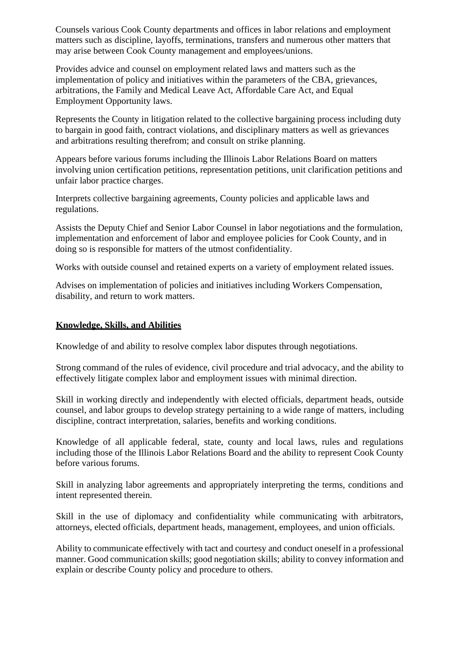Counsels various Cook County departments and offices in labor relations and employment matters such as discipline, layoffs, terminations, transfers and numerous other matters that may arise between Cook County management and employees/unions.

Provides advice and counsel on employment related laws and matters such as the implementation of policy and initiatives within the parameters of the CBA, grievances, arbitrations, the Family and Medical Leave Act, Affordable Care Act, and Equal Employment Opportunity laws.

Represents the County in litigation related to the collective bargaining process including duty to bargain in good faith, contract violations, and disciplinary matters as well as grievances and arbitrations resulting therefrom; and consult on strike planning.

Appears before various forums including the Illinois Labor Relations Board on matters involving union certification petitions, representation petitions, unit clarification petitions and unfair labor practice charges.

Interprets collective bargaining agreements, County policies and applicable laws and regulations.

Assists the Deputy Chief and Senior Labor Counsel in labor negotiations and the formulation, implementation and enforcement of labor and employee policies for Cook County, and in doing so is responsible for matters of the utmost confidentiality.

Works with outside counsel and retained experts on a variety of employment related issues.

Advises on implementation of policies and initiatives including Workers Compensation, disability, and return to work matters.

# **Knowledge, Skills, and Abilities**

Knowledge of and ability to resolve complex labor disputes through negotiations.

Strong command of the rules of evidence, civil procedure and trial advocacy, and the ability to effectively litigate complex labor and employment issues with minimal direction.

Skill in working directly and independently with elected officials, department heads, outside counsel, and labor groups to develop strategy pertaining to a wide range of matters, including discipline, contract interpretation, salaries, benefits and working conditions.

Knowledge of all applicable federal, state, county and local laws, rules and regulations including those of the Illinois Labor Relations Board and the ability to represent Cook County before various forums.

Skill in analyzing labor agreements and appropriately interpreting the terms, conditions and intent represented therein.

Skill in the use of diplomacy and confidentiality while communicating with arbitrators, attorneys, elected officials, department heads, management, employees, and union officials.

Ability to communicate effectively with tact and courtesy and conduct oneself in a professional manner. Good communication skills; good negotiation skills; ability to convey information and explain or describe County policy and procedure to others.